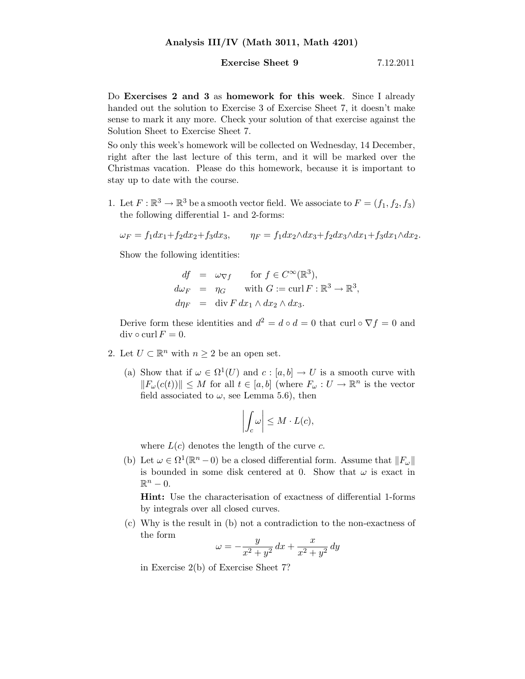## **Exercise Sheet 9** 7.12.2011

Do Exercises 2 and 3 as homework for this week. Since I already handed out the solution to Exercise 3 of Exercise Sheet 7, it doesn't make sense to mark it any more. Check your solution of that exercise against the Solution Sheet to Exercise Sheet 7.

So only this week's homework will be collected on Wednesday, 14 December, right after the last lecture of this term, and it will be marked over the Christmas vacation. Please do this homework, because it is important to stay up to date with the course.

1. Let  $F: \mathbb{R}^3 \to \mathbb{R}^3$  be a smooth vector field. We associate to  $F = (f_1, f_2, f_3)$ the following differential 1- and 2-forms:

$$
\omega_F = f_1 dx_1 + f_2 dx_2 + f_3 dx_3, \qquad \eta_F = f_1 dx_2 \wedge dx_3 + f_2 dx_3 \wedge dx_1 + f_3 dx_1 \wedge dx_2.
$$

Show the following identities:

$$
df = \omega_{\nabla f} \quad \text{for } f \in C^{\infty}(\mathbb{R}^{3}),
$$
  
\n
$$
d\omega_{F} = \eta_{G} \quad \text{with } G := \text{curl } F : \mathbb{R}^{3} \to \mathbb{R}^{3},
$$
  
\n
$$
d\eta_{F} = \text{div } F dx_{1} \wedge dx_{2} \wedge dx_{3}.
$$

Derive form these identities and  $d^2 = d \circ d = 0$  that curl  $\circ \nabla f = 0$  and div  $\circ$  curl  $F = 0$ .

- 2. Let  $U \subset \mathbb{R}^n$  with  $n \geq 2$  be an open set.
	- (a) Show that if  $\omega \in \Omega^1(U)$  and  $c : [a, b] \to U$  is a smooth curve with  $||F_{\omega}(c(t))|| \leq M$  for all  $t \in [a, b]$  (where  $F_{\omega}: U \to \mathbb{R}^{n}$  is the vector field associated to  $\omega$ , see Lemma 5.6), then

$$
\left| \int_c \omega \right| \leq M \cdot L(c),
$$

where  $L(c)$  denotes the length of the curve c.

(b) Let  $\omega \in \Omega^1(\mathbb{R}^n - 0)$  be a closed differential form. Assume that  $||F_{\omega}||$ is bounded in some disk centered at 0. Show that  $\omega$  is exact in  $\mathbb{R}^n-0.$ 

Hint: Use the characterisation of exactness of differential 1-forms by integrals over all closed curves.

(c) Why is the result in (b) not a contradiction to the non-exactness of the form

$$
\omega = -\frac{y}{x^2 + y^2} \, dx + \frac{x}{x^2 + y^2} \, dy
$$

in Exercise 2(b) of Exercise Sheet 7?